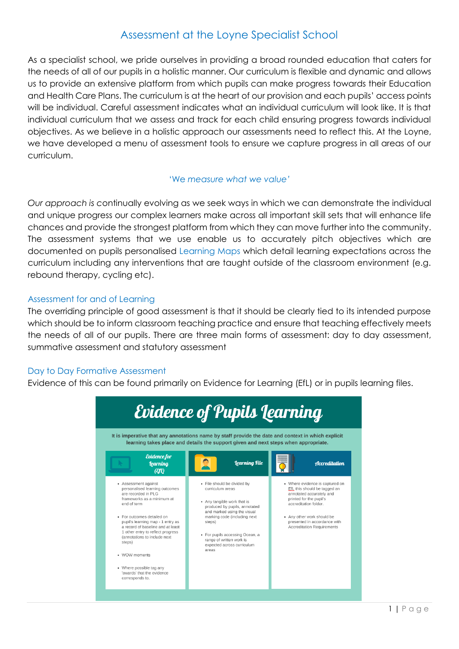# Assessment at the Loyne Specialist School

As a specialist school, we pride ourselves in providing a broad rounded education that caters for the needs of all of our pupils in a holistic manner. Our curriculum is flexible and dynamic and allows us to provide an extensive platform from which pupils can make progress towards their Education and Health Care Plans. The curriculum is at the heart of our provision and each pupils' access points will be individual. Careful assessment indicates what an individual curriculum will look like. It is that individual curriculum that we assess and track for each child ensuring progress towards individual objectives. As we believe in a holistic approach our assessments need to reflect this. At the Loyne, we have developed a menu of assessment tools to ensure we capture progress in all areas of our curriculum.

#### 'We *measure what we value'*

*Our approach is c*ontinually evolving as we seek ways in which we can demonstrate the individual and unique progress our complex learners make across all important skill sets that will enhance life chances and provide the strongest platform from which they can move further into the community. The assessment systems that we use enable us to accurately pitch objectives which are documented on pupils personalised Learning Maps which detail learning expectations across the curriculum including any interventions that are taught outside of the classroom environment (e.g. rebound therapy, cycling etc).

## Assessment for and of Learning

The overriding principle of good assessment is that it should be clearly tied to its intended purpose which should be to inform classroom teaching practice and ensure that teaching effectively meets the needs of all of our pupils. There are three main forms of assessment: day to day assessment, summative assessment and statutory assessment

## Day to Day Formative Assessment

Evidence of this can be found primarily on Evidence for Learning (EfL) or in pupils learning files.

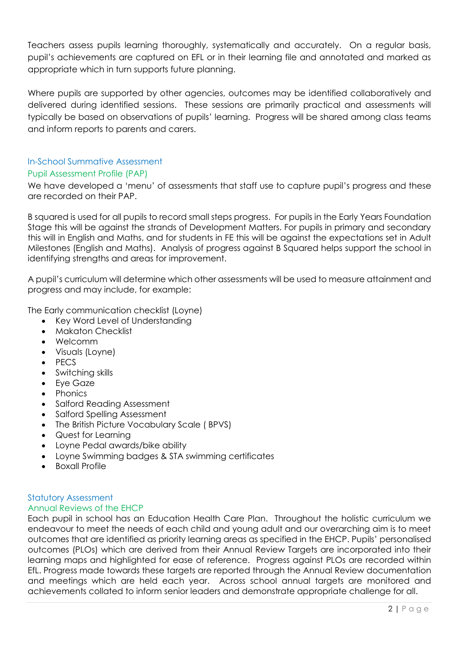Teachers assess pupils learning thoroughly, systematically and accurately. On a regular basis, pupil's achievements are captured on EFL or in their learning file and annotated and marked as appropriate which in turn supports future planning.

Where pupils are supported by other agencies, outcomes may be identified collaboratively and delivered during identified sessions. These sessions are primarily practical and assessments will typically be based on observations of pupils' learning. Progress will be shared among class teams and inform reports to parents and carers.

## In-School Summative Assessment

#### Pupil Assessment Profile (PAP)

We have developed a 'menu' of assessments that staff use to capture pupil's progress and these are recorded on their PAP.

B squared is used for all pupils to record small steps progress. For pupils in the Early Years Foundation Stage this will be against the strands of Development Matters. For pupils in primary and secondary this will in English and Maths, and for students in FE this will be against the expectations set in Adult Milestones (English and Maths). Analysis of progress against B Squared helps support the school in identifying strengths and areas for improvement.

A pupil's curriculum will determine which other assessments will be used to measure attainment and progress and may include, for example:

The Early communication checklist (Loyne)

- Key Word Level of Understanding
- Makaton Checklist
- Welcomm
- Visuals (Loyne)
- $\bullet$  PFCS
- Switching skills
- Eve Gaze
- Phonics
- Salford Reading Assessment
- Salford Spelling Assessment
- The British Picture Vocabulary Scale (BPVS)
- Quest for Learning
- Loyne Pedal awards/bike ability
- Loyne Swimming badges & STA swimming certificates
- Boxall Profile

# Statutory Assessment

# Annual Reviews of the EHCP

Each pupil in school has an Education Health Care Plan. Throughout the holistic curriculum we endeavour to meet the needs of each child and young adult and our overarching aim is to meet outcomes that are identified as priority learning areas as specified in the EHCP. Pupils' personalised outcomes (PLOs) which are derived from their Annual Review Targets are incorporated into their learning maps and highlighted for ease of reference. Progress against PLOs are recorded within EfL. Progress made towards these targets are reported through the Annual Review documentation and meetings which are held each year. Across school annual targets are monitored and achievements collated to inform senior leaders and demonstrate appropriate challenge for all.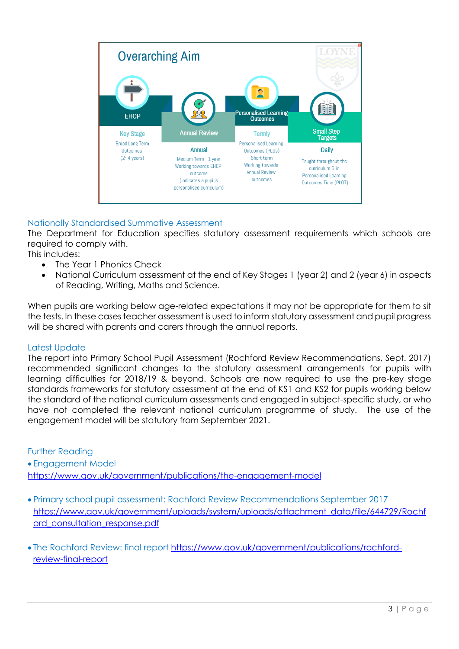

# Nationally Standardised Summative Assessment

The Department for Education specifies statutory assessment requirements which schools are required to comply with.

This includes:

- The Year 1 Phonics Check
- National Curriculum assessment at the end of Key Stages 1 (year 2) and 2 (year 6) in aspects of Reading, Writing, Maths and Science.

When pupils are working below age-related expectations it may not be appropriate for them to sit the tests. In these cases teacher assessment is used to inform statutory assessment and pupil progress will be shared with parents and carers through the annual reports.

## Latest Update

The report into Primary School Pupil Assessment (Rochford Review Recommendations, Sept. 2017) recommended significant changes to the statutory assessment arrangements for pupils with learning difficulties for 2018/19 & beyond. Schools are now required to use the pre-key stage standards frameworks for statutory assessment at the end of KS1 and KS2 for pupils working below the standard of the national curriculum assessments and engaged in subject-specific study, or who have not completed the relevant national curriculum programme of study. The use of the engagement model will be statutory from September 2021.

Further Reading

 Engagement Model <https://www.gov.uk/government/publications/the-engagement-model>

 Primary school pupil assessment: Rochford Review Recommendations September 2017 [https://www.gov.uk/government/uploads/system/uploads/attachment\\_data/file/644729/Rochf](https://www.gov.uk/government/uploads/system/uploads/attachment_data/file/644729/Rochford_consultation_response.pdf) [ord\\_consultation\\_response.pdf](https://www.gov.uk/government/uploads/system/uploads/attachment_data/file/644729/Rochford_consultation_response.pdf)

 The Rochford Review: final report [https://www.gov.uk/government/publications/rochford](https://www.gov.uk/government/publications/rochford-review-final-report)[review-final-report](https://www.gov.uk/government/publications/rochford-review-final-report)